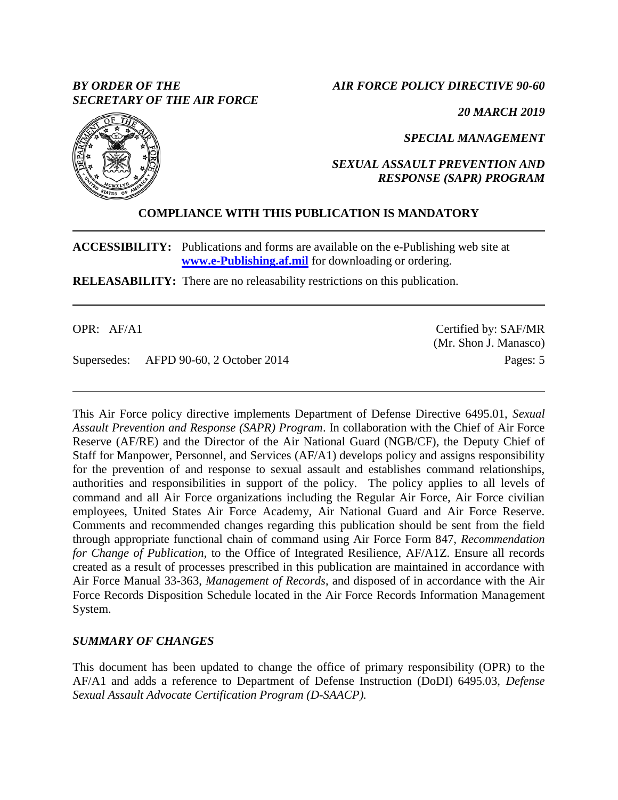# *BY ORDER OF THE SECRETARY OF THE AIR FORCE*

*AIR FORCE POLICY DIRECTIVE 90-60*

*20 MARCH 2019*

*SPECIAL MANAGEMENT*

*SEXUAL ASSAULT PREVENTION AND RESPONSE (SAPR) PROGRAM*

# **COMPLIANCE WITH THIS PUBLICATION IS MANDATORY**

**ACCESSIBILITY:** Publications and forms are available on the e-Publishing web site at **[www.e-Publishing.af.mil](http://www.e-publishing.af.mil/)** for downloading or ordering.

**RELEASABILITY:** There are no releasability restrictions on this publication.

OPR: AF/A1

Supersedes: AFPD 90-60, 2 October 2014

This Air Force policy directive implements Department of Defense Directive 6495.01, *Sexual Assault Prevention and Response (SAPR) Program*. In collaboration with the Chief of Air Force Reserve (AF/RE) and the Director of the Air National Guard (NGB/CF), the Deputy Chief of Staff for Manpower, Personnel, and Services (AF/A1) develops policy and assigns responsibility for the prevention of and response to sexual assault and establishes command relationships, authorities and responsibilities in support of the policy. The policy applies to all levels of command and all Air Force organizations including the Regular Air Force, Air Force civilian employees, United States Air Force Academy, Air National Guard and Air Force Reserve. Comments and recommended changes regarding this publication should be sent from the field through appropriate functional chain of command using Air Force Form 847, *Recommendation for Change of Publication,* to the Office of Integrated Resilience, AF/A1Z. Ensure all records created as a result of processes prescribed in this publication are maintained in accordance with Air Force Manual 33-363, *Management of Records*, and disposed of in accordance with the Air Force Records Disposition Schedule located in the Air Force Records Information Management System.

# *SUMMARY OF CHANGES*

This document has been updated to change the office of primary responsibility (OPR) to the AF/A1 and adds a reference to Department of Defense Instruction (DoDI) 6495.03, *Defense Sexual Assault Advocate Certification Program (D-SAACP).*



Certified by: SAF/MR (Mr. Shon J. Manasco) Pages: 5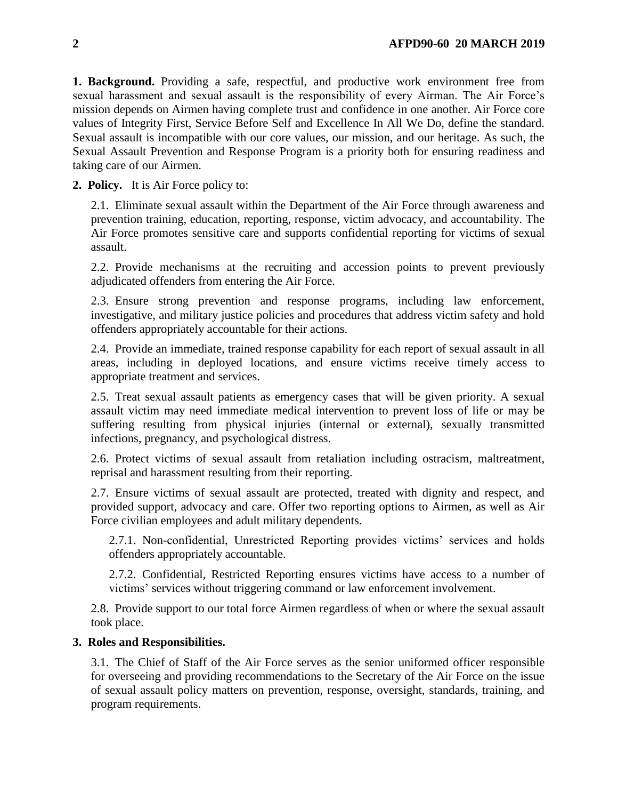**1. Background.** Providing a safe, respectful, and productive work environment free from sexual harassment and sexual assault is the responsibility of every Airman. The Air Force's mission depends on Airmen having complete trust and confidence in one another. Air Force core values of Integrity First, Service Before Self and Excellence In All We Do, define the standard. Sexual assault is incompatible with our core values, our mission, and our heritage. As such, the Sexual Assault Prevention and Response Program is a priority both for ensuring readiness and taking care of our Airmen.

**2. Policy.** It is Air Force policy to:

2.1. Eliminate sexual assault within the Department of the Air Force through awareness and prevention training, education, reporting, response, victim advocacy, and accountability. The Air Force promotes sensitive care and supports confidential reporting for victims of sexual assault.

2.2. Provide mechanisms at the recruiting and accession points to prevent previously adjudicated offenders from entering the Air Force.

2.3. Ensure strong prevention and response programs, including law enforcement, investigative, and military justice policies and procedures that address victim safety and hold offenders appropriately accountable for their actions.

2.4. Provide an immediate, trained response capability for each report of sexual assault in all areas, including in deployed locations, and ensure victims receive timely access to appropriate treatment and services.

2.5. Treat sexual assault patients as emergency cases that will be given priority. A sexual assault victim may need immediate medical intervention to prevent loss of life or may be suffering resulting from physical injuries (internal or external), sexually transmitted infections, pregnancy, and psychological distress.

2.6. Protect victims of sexual assault from retaliation including ostracism, maltreatment, reprisal and harassment resulting from their reporting.

2.7. Ensure victims of sexual assault are protected, treated with dignity and respect, and provided support, advocacy and care. Offer two reporting options to Airmen, as well as Air Force civilian employees and adult military dependents.

2.7.1. Non-confidential, Unrestricted Reporting provides victims' services and holds offenders appropriately accountable.

2.7.2. Confidential, Restricted Reporting ensures victims have access to a number of victims' services without triggering command or law enforcement involvement.

2.8. Provide support to our total force Airmen regardless of when or where the sexual assault took place.

## **3. Roles and Responsibilities.**

3.1. The Chief of Staff of the Air Force serves as the senior uniformed officer responsible for overseeing and providing recommendations to the Secretary of the Air Force on the issue of sexual assault policy matters on prevention, response, oversight, standards, training, and program requirements.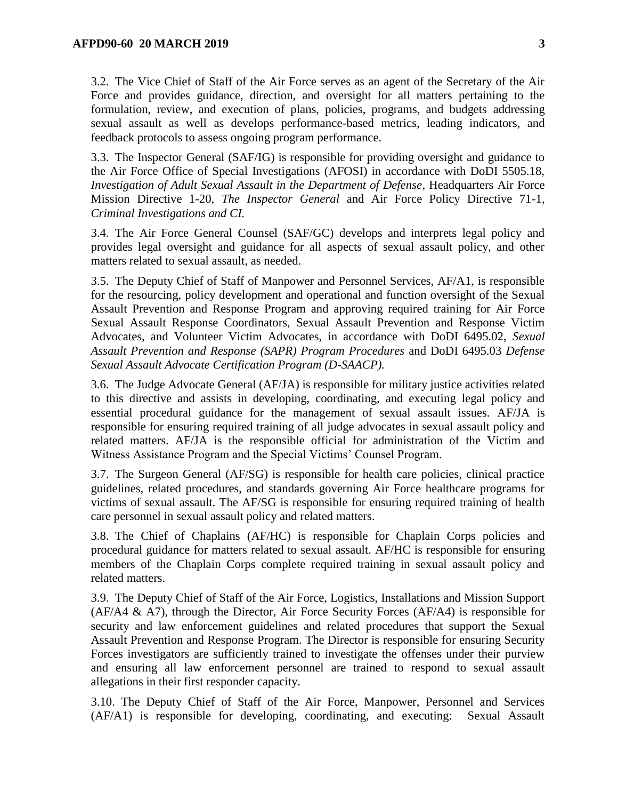3.2. The Vice Chief of Staff of the Air Force serves as an agent of the Secretary of the Air Force and provides guidance, direction, and oversight for all matters pertaining to the formulation, review, and execution of plans, policies, programs, and budgets addressing sexual assault as well as develops performance-based metrics, leading indicators, and feedback protocols to assess ongoing program performance.

3.3. The Inspector General (SAF/IG) is responsible for providing oversight and guidance to the Air Force Office of Special Investigations (AFOSI) in accordance with DoDI 5505.18, *Investigation of Adult Sexual Assault in the Department of Defense*, Headquarters Air Force Mission Directive 1-20, *The Inspector General* and Air Force Policy Directive 71-1, *Criminal Investigations and CI.*

3.4. The Air Force General Counsel (SAF/GC) develops and interprets legal policy and provides legal oversight and guidance for all aspects of sexual assault policy, and other matters related to sexual assault, as needed.

3.5. The Deputy Chief of Staff of Manpower and Personnel Services, AF/A1, is responsible for the resourcing, policy development and operational and function oversight of the Sexual Assault Prevention and Response Program and approving required training for Air Force Sexual Assault Response Coordinators, Sexual Assault Prevention and Response Victim Advocates, and Volunteer Victim Advocates, in accordance with DoDI 6495.02, *Sexual Assault Prevention and Response (SAPR) Program Procedures* and DoDI 6495.03 *Defense Sexual Assault Advocate Certification Program (D-SAACP).*

3.6. The Judge Advocate General (AF/JA) is responsible for military justice activities related to this directive and assists in developing, coordinating, and executing legal policy and essential procedural guidance for the management of sexual assault issues. AF/JA is responsible for ensuring required training of all judge advocates in sexual assault policy and related matters. AF/JA is the responsible official for administration of the Victim and Witness Assistance Program and the Special Victims' Counsel Program.

3.7. The Surgeon General (AF/SG) is responsible for health care policies, clinical practice guidelines, related procedures, and standards governing Air Force healthcare programs for victims of sexual assault. The AF/SG is responsible for ensuring required training of health care personnel in sexual assault policy and related matters.

3.8. The Chief of Chaplains (AF/HC) is responsible for Chaplain Corps policies and procedural guidance for matters related to sexual assault. AF/HC is responsible for ensuring members of the Chaplain Corps complete required training in sexual assault policy and related matters.

3.9. The Deputy Chief of Staff of the Air Force, Logistics, Installations and Mission Support (AF/A4 & A7), through the Director, Air Force Security Forces (AF/A4) is responsible for security and law enforcement guidelines and related procedures that support the Sexual Assault Prevention and Response Program. The Director is responsible for ensuring Security Forces investigators are sufficiently trained to investigate the offenses under their purview and ensuring all law enforcement personnel are trained to respond to sexual assault allegations in their first responder capacity.

3.10. The Deputy Chief of Staff of the Air Force, Manpower, Personnel and Services (AF/A1) is responsible for developing, coordinating, and executing: Sexual Assault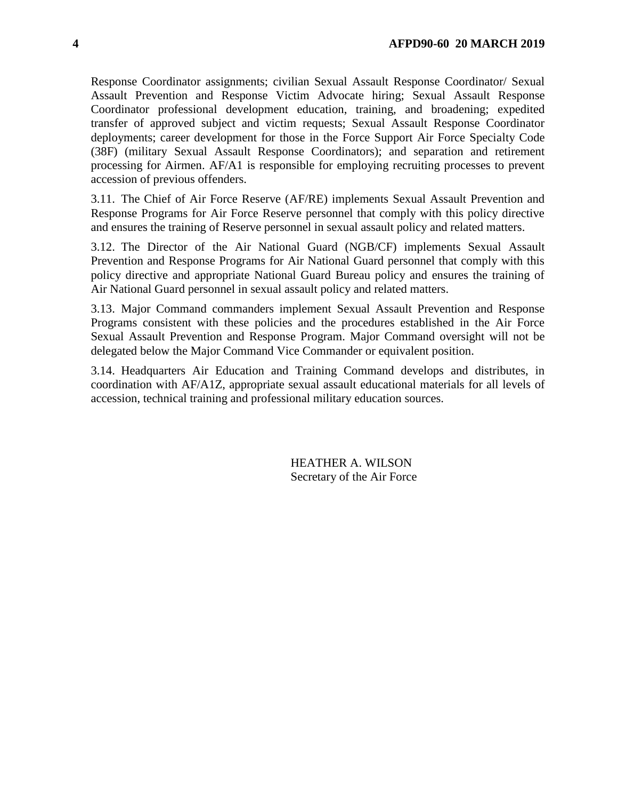Response Coordinator assignments; civilian Sexual Assault Response Coordinator/ Sexual Assault Prevention and Response Victim Advocate hiring; Sexual Assault Response Coordinator professional development education, training, and broadening; expedited transfer of approved subject and victim requests; Sexual Assault Response Coordinator deployments; career development for those in the Force Support Air Force Specialty Code (38F) (military Sexual Assault Response Coordinators); and separation and retirement processing for Airmen. AF/A1 is responsible for employing recruiting processes to prevent accession of previous offenders.

3.11. The Chief of Air Force Reserve (AF/RE) implements Sexual Assault Prevention and Response Programs for Air Force Reserve personnel that comply with this policy directive and ensures the training of Reserve personnel in sexual assault policy and related matters.

3.12. The Director of the Air National Guard (NGB/CF) implements Sexual Assault Prevention and Response Programs for Air National Guard personnel that comply with this policy directive and appropriate National Guard Bureau policy and ensures the training of Air National Guard personnel in sexual assault policy and related matters.

3.13. Major Command commanders implement Sexual Assault Prevention and Response Programs consistent with these policies and the procedures established in the Air Force Sexual Assault Prevention and Response Program. Major Command oversight will not be delegated below the Major Command Vice Commander or equivalent position.

3.14. Headquarters Air Education and Training Command develops and distributes, in coordination with AF/A1Z, appropriate sexual assault educational materials for all levels of accession, technical training and professional military education sources.

> HEATHER A. WILSON Secretary of the Air Force